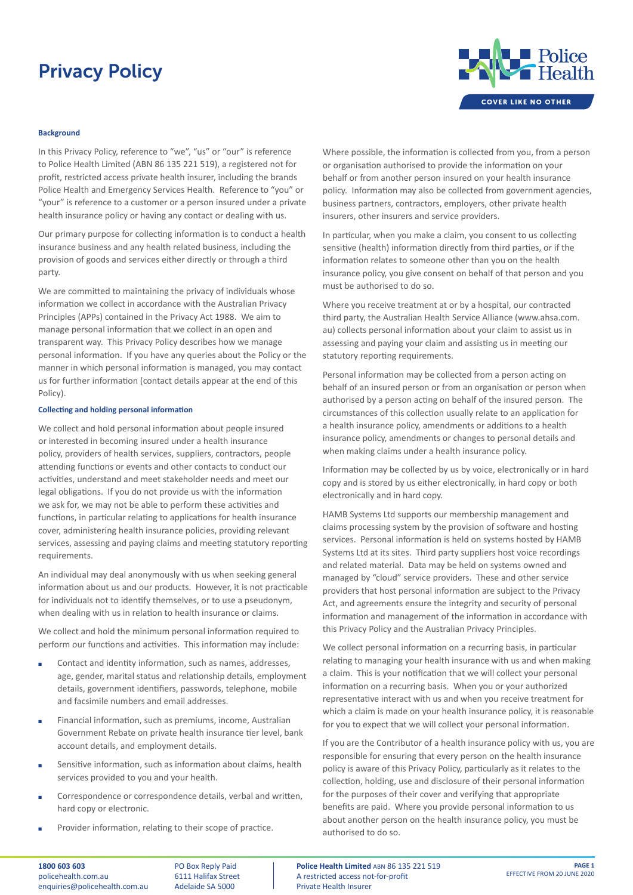

### **Background**

In this Privacy Policy, reference to "we", "us" or "our" is reference to Police Health Limited (ABN 86 135 221 519), a registered not for profit, restricted access private health insurer, including the brands Police Health and Emergency Services Health. Reference to "you" or "your" is reference to a customer or a person insured under a private health insurance policy or having any contact or dealing with us.

Our primary purpose for collecting information is to conduct a health insurance business and any health related business, including the provision of goods and services either directly or through a third party.

We are committed to maintaining the privacy of individuals whose information we collect in accordance with the Australian Privacy Principles (APPs) contained in the Privacy Act 1988. We aim to manage personal information that we collect in an open and transparent way. This Privacy Policy describes how we manage personal information. If you have any queries about the Policy or the manner in which personal information is managed, you may contact us for further information (contact details appear at the end of this Policy).

#### **Collecting and holding personal information**

We collect and hold personal information about people insured or interested in becoming insured under a health insurance policy, providers of health services, suppliers, contractors, people attending functions or events and other contacts to conduct our activities, understand and meet stakeholder needs and meet our legal obligations. If you do not provide us with the information we ask for, we may not be able to perform these activities and functions, in particular relating to applications for health insurance cover, administering health insurance policies, providing relevant services, assessing and paying claims and meeting statutory reporting requirements.

An individual may deal anonymously with us when seeking general information about us and our products. However, it is not practicable for individuals not to identify themselves, or to use a pseudonym, when dealing with us in relation to health insurance or claims.

We collect and hold the minimum personal information required to perform our functions and activities. This information may include:

- Contact and identity information, such as names, addresses, age, gender, marital status and relationship details, employment details, government identifiers, passwords, telephone, mobile and facsimile numbers and email addresses.
- Financial information, such as premiums, income, Australian Government Rebate on private health insurance tier level, bank account details, and employment details.
- **EXECUTE:** Sensitive information, such as information about claims, health services provided to you and your health.
- Correspondence or correspondence details, verbal and written, hard copy or electronic.
- Provider information, relating to their scope of practice.

**1800 603 603** policehealth.com.au enquiries@policehealth.com.au

PO Box Reply Paid 6111 Halifax Street Adelaide SA 5000

Where possible, the information is collected from you, from a person or organisation authorised to provide the information on your behalf or from another person insured on your health insurance policy. Information may also be collected from government agencies, business partners, contractors, employers, other private health insurers, other insurers and service providers.

In particular, when you make a claim, you consent to us collecting sensitive (health) information directly from third parties, or if the information relates to someone other than you on the health insurance policy, you give consent on behalf of that person and you must be authorised to do so.

Where you receive treatment at or by a hospital, our contracted third party, the Australian Health Service Alliance (www.ahsa.com. au) collects personal information about your claim to assist us in assessing and paying your claim and assisting us in meeting our statutory reporting requirements.

Personal information may be collected from a person acting on behalf of an insured person or from an organisation or person when authorised by a person acting on behalf of the insured person. The circumstances of this collection usually relate to an application for a health insurance policy, amendments or additions to a health insurance policy, amendments or changes to personal details and when making claims under a health insurance policy.

Information may be collected by us by voice, electronically or in hard copy and is stored by us either electronically, in hard copy or both electronically and in hard copy.

HAMB Systems Ltd supports our membership management and claims processing system by the provision of software and hosting services. Personal information is held on systems hosted by HAMB Systems Ltd at its sites. Third party suppliers host voice recordings and related material. Data may be held on systems owned and managed by "cloud" service providers. These and other service providers that host personal information are subject to the Privacy Act, and agreements ensure the integrity and security of personal information and management of the information in accordance with this Privacy Policy and the Australian Privacy Principles.

We collect personal information on a recurring basis, in particular relating to managing your health insurance with us and when making a claim. This is your notification that we will collect your personal information on a recurring basis. When you or your authorized representative interact with us and when you receive treatment for which a claim is made on your health insurance policy, it is reasonable for you to expect that we will collect your personal information.

If you are the Contributor of a health insurance policy with us, you are responsible for ensuring that every person on the health insurance policy is aware of this Privacy Policy, particularly as it relates to the collection, holding, use and disclosure of their personal information for the purposes of their cover and verifying that appropriate benefits are paid. Where you provide personal information to us about another person on the health insurance policy, you must be authorised to do so.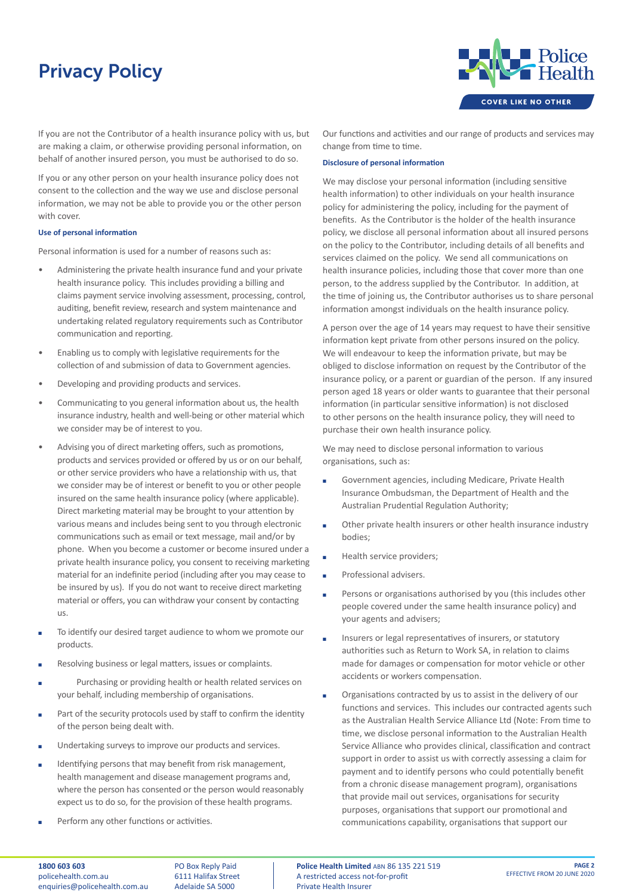

If you are not the Contributor of a health insurance policy with us, but are making a claim, or otherwise providing personal information, on behalf of another insured person, you must be authorised to do so.

If you or any other person on your health insurance policy does not consent to the collection and the way we use and disclose personal information, we may not be able to provide you or the other person with cover.

## **Use of personal information**

Personal information is used for a number of reasons such as:

- Administering the private health insurance fund and your private health insurance policy. This includes providing a billing and claims payment service involving assessment, processing, control, auditing, benefit review, research and system maintenance and undertaking related regulatory requirements such as Contributor communication and reporting.
- Enabling us to comply with legislative requirements for the collection of and submission of data to Government agencies.
- Developing and providing products and services.
- Communicating to you general information about us, the health insurance industry, health and well-being or other material which we consider may be of interest to you.
- Advising you of direct marketing offers, such as promotions, products and services provided or offered by us or on our behalf, or other service providers who have a relationship with us, that we consider may be of interest or benefit to you or other people insured on the same health insurance policy (where applicable). Direct marketing material may be brought to your attention by various means and includes being sent to you through electronic communications such as email or text message, mail and/or by phone. When you become a customer or become insured under a private health insurance policy, you consent to receiving marketing material for an indefinite period (including after you may cease to be insured by us). If you do not want to receive direct marketing material or offers, you can withdraw your consent by contacting us.
- To identify our desired target audience to whom we promote our products.
- Resolving business or legal matters, issues or complaints.
- Purchasing or providing health or health related services on your behalf, including membership of organisations.
- Part of the security protocols used by staff to confirm the identity of the person being dealt with.
- **■** Undertaking surveys to improve our products and services.
- Identifying persons that may benefit from risk management. health management and disease management programs and, where the person has consented or the person would reasonably expect us to do so, for the provision of these health programs.
- Perform any other functions or activities.

Our functions and activities and our range of products and services may change from time to time.

#### **Disclosure of personal information**

We may disclose your personal information (including sensitive health information) to other individuals on your health insurance policy for administering the policy, including for the payment of benefits. As the Contributor is the holder of the health insurance policy, we disclose all personal information about all insured persons on the policy to the Contributor, including details of all benefits and services claimed on the policy. We send all communications on health insurance policies, including those that cover more than one person, to the address supplied by the Contributor. In addition, at the time of joining us, the Contributor authorises us to share personal information amongst individuals on the health insurance policy.

A person over the age of 14 years may request to have their sensitive information kept private from other persons insured on the policy. We will endeavour to keep the information private, but may be obliged to disclose information on request by the Contributor of the insurance policy, or a parent or guardian of the person. If any insured person aged 18 years or older wants to guarantee that their personal information (in particular sensitive information) is not disclosed to other persons on the health insurance policy, they will need to purchase their own health insurance policy.

We may need to disclose personal information to various organisations, such as:

- Government agencies, including Medicare, Private Health Insurance Ombudsman, the Department of Health and the Australian Prudential Regulation Authority;
- **EXECUTE:** Other private health insurers or other health insurance industry bodies;
- Health service providers;
- Professional advisers.
- **EXECUTE:** Persons or organisations authorised by you (this includes other people covered under the same health insurance policy) and your agents and advisers;
- Insurers or legal representatives of insurers, or statutory authorities such as Return to Work SA, in relation to claims made for damages or compensation for motor vehicle or other accidents or workers compensation.
- Organisations contracted by us to assist in the delivery of our functions and services. This includes our contracted agents such as the Australian Health Service Alliance Ltd (Note: From time to time, we disclose personal information to the Australian Health Service Alliance who provides clinical, classification and contract support in order to assist us with correctly assessing a claim for payment and to identify persons who could potentially benefit from a chronic disease management program), organisations that provide mail out services, organisations for security purposes, organisations that support our promotional and communications capability, organisations that support our

PO Box Reply Paid 6111 Halifax Street Adelaide SA 5000

**Police Health Limited** ABN 86 135 221 519 A restricted access not-for-profit Private Health Insurer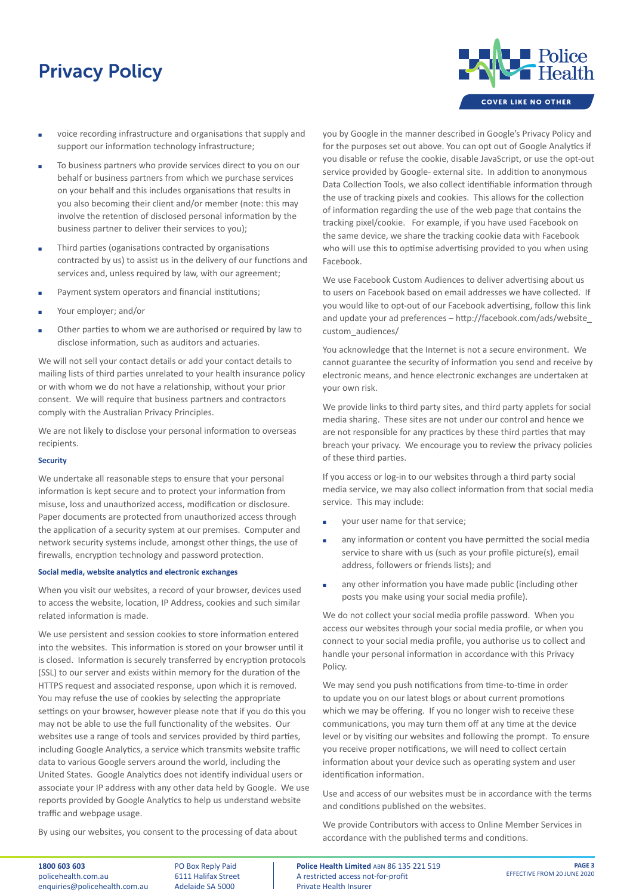- voice recording infrastructure and organisations that supply and support our information technology infrastructure;
- To business partners who provide services direct to you on our behalf or business partners from which we purchase services on your behalf and this includes organisations that results in you also becoming their client and/or member (note: this may involve the retention of disclosed personal information by the business partner to deliver their services to you);
- **EXECUTE:** Third parties (oganisations contracted by organisations contracted by us) to assist us in the delivery of our functions and services and, unless required by law, with our agreement;
- **EXECUTE:** Payment system operators and financial institutions;
- Your employer; and/or
- **EXECT** Other parties to whom we are authorised or required by law to disclose information, such as auditors and actuaries.

We will not sell your contact details or add your contact details to mailing lists of third parties unrelated to your health insurance policy or with whom we do not have a relationship, without your prior consent. We will require that business partners and contractors comply with the Australian Privacy Principles.

We are not likely to disclose your personal information to overseas recipients.

# **Security**

We undertake all reasonable steps to ensure that your personal information is kept secure and to protect your information from misuse, loss and unauthorized access, modification or disclosure. Paper documents are protected from unauthorized access through the application of a security system at our premises. Computer and network security systems include, amongst other things, the use of firewalls, encryption technology and password protection.

#### **Social media, website analytics and electronic exchanges**

When you visit our websites, a record of your browser, devices used to access the website, location, IP Address, cookies and such similar related information is made.

We use persistent and session cookies to store information entered into the websites. This information is stored on your browser until it is closed. Information is securely transferred by encryption protocols (SSL) to our server and exists within memory for the duration of the HTTPS request and associated response, upon which it is removed. You may refuse the use of cookies by selecting the appropriate settings on your browser, however please note that if you do this you may not be able to use the full functionality of the websites. Our websites use a range of tools and services provided by third parties, including Google Analytics, a service which transmits website traffic data to various Google servers around the world, including the United States. Google Analytics does not identify individual users or associate your IP address with any other data held by Google. We use reports provided by Google Analytics to help us understand website traffic and webpage usage.

you by Google in the manner described in Google's Privacy Policy and for the purposes set out above. You can opt out of Google Analytics if you disable or refuse the cookie, disable JavaScript, or use the opt-out service provided by Google- external site. In addition to anonymous Data Collection Tools, we also collect identifiable information through the use of tracking pixels and cookies. This allows for the collection of information regarding the use of the web page that contains the tracking pixel/cookie. For example, if you have used Facebook on the same device, we share the tracking cookie data with Facebook who will use this to optimise advertising provided to you when using Facebook.

We use Facebook Custom Audiences to deliver advertising about us to users on Facebook based on email addresses we have collected. If you would like to opt-out of our Facebook advertising, follow this link and update your ad preferences – http://facebook.com/ads/website\_ custom\_audiences/

You acknowledge that the Internet is not a secure environment. We cannot guarantee the security of information you send and receive by electronic means, and hence electronic exchanges are undertaken at your own risk.

We provide links to third party sites, and third party applets for social media sharing. These sites are not under our control and hence we are not responsible for any practices by these third parties that may breach your privacy. We encourage you to review the privacy policies of these third parties.

If you access or log-in to our websites through a third party social media service, we may also collect information from that social media service. This may include:

- $\blacksquare$  your user name for that service;
- any information or content you have permitted the social media service to share with us (such as your profile picture(s), email address, followers or friends lists); and
- **a** any other information you have made public (including other posts you make using your social media profile).

We do not collect your social media profile password. When you access our websites through your social media profile, or when you connect to your social media profile, you authorise us to collect and handle your personal information in accordance with this Privacy Policy.

We may send you push notifications from time-to-time in order to update you on our latest blogs or about current promotions which we may be offering. If you no longer wish to receive these communications, you may turn them off at any time at the device level or by visiting our websites and following the prompt. To ensure you receive proper notifications, we will need to collect certain information about your device such as operating system and user identification information.

Use and access of our websites must be in accordance with the terms and conditions published on the websites.

We provide Contributors with access to Online Member Services in accordance with the published terms and conditions.

By using our websites, you consent to the processing of data about

**1800 603 603** policehealth.com.au enquiries@policehealth.com.au

PO Box Reply Paid 6111 Halifax Street Adelaide SA 5000

**Police Health Limited** ABN 86 135 221 519 A restricted access not-for-profit Private Health Insurer